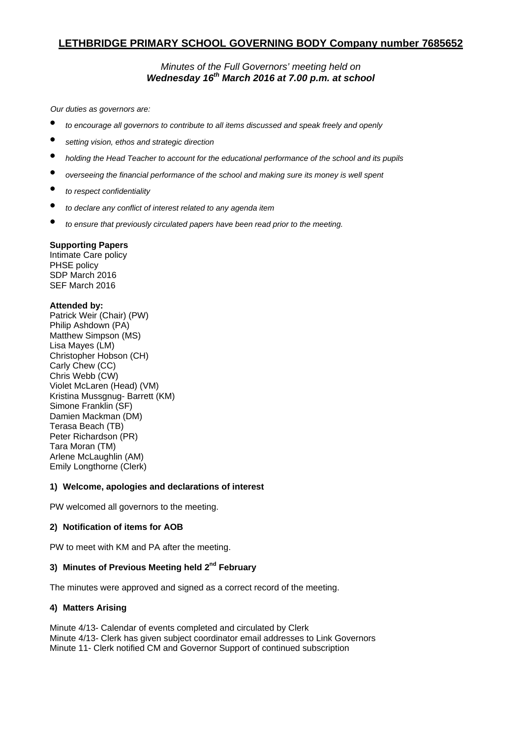# **LETHBRIDGE PRIMARY SCHOOL GOVERNING BODY Company number 7685652**

## *Minutes of the Full Governors' meeting held on Wednesday 16th March 2016 at 7.00 p.m. at school*

*Our duties as governors are:* 

- *to encourage all governors to contribute to all items discussed and speak freely and openly*
- *setting vision, ethos and strategic direction*
- *holding the Head Teacher to account for the educational performance of the school and its pupils*
- *overseeing the financial performance of the school and making sure its money is well spent*
- *to respect confidentiality*
- *to declare any conflict of interest related to any agenda item*
- *to ensure that previously circulated papers have been read prior to the meeting.*

#### **Supporting Papers**

Intimate Care policy PHSE policy SDP March 2016 SEF March 2016

#### **Attended by:**

Patrick Weir (Chair) (PW) Philip Ashdown (PA) Matthew Simpson (MS) Lisa Mayes (LM) Christopher Hobson (CH) Carly Chew (CC) Chris Webb (CW) Violet McLaren (Head) (VM) Kristina Mussgnug- Barrett (KM) Simone Franklin (SF) Damien Mackman (DM) Terasa Beach (TB) Peter Richardson (PR) Tara Moran (TM) Arlene McLaughlin (AM) Emily Longthorne (Clerk)

#### **1) Welcome, apologies and declarations of interest**

PW welcomed all governors to the meeting.

## **2) Notification of items for AOB**

PW to meet with KM and PA after the meeting.

## **3) Minutes of Previous Meeting held 2nd February**

The minutes were approved and signed as a correct record of the meeting.

## **4) Matters Arising**

Minute 4/13- Calendar of events completed and circulated by Clerk Minute 4/13- Clerk has given subject coordinator email addresses to Link Governors Minute 11- Clerk notified CM and Governor Support of continued subscription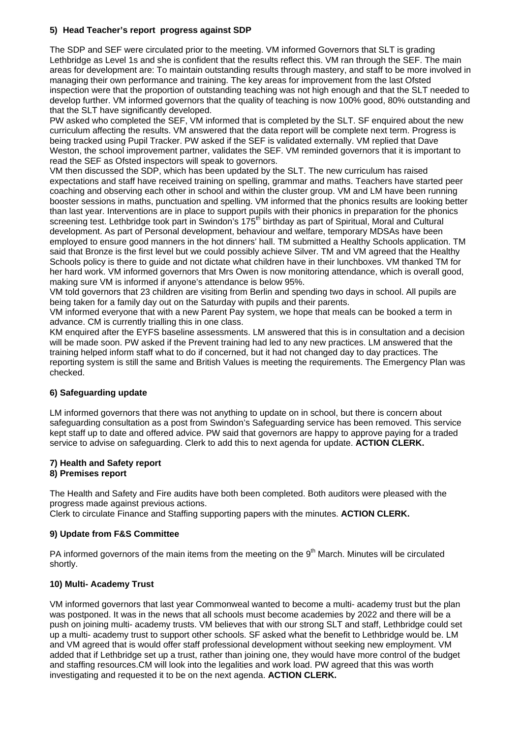## **5) Head Teacher's report progress against SDP**

The SDP and SEF were circulated prior to the meeting. VM informed Governors that SLT is grading Lethbridge as Level 1s and she is confident that the results reflect this. VM ran through the SEF. The main areas for development are: To maintain outstanding results through mastery, and staff to be more involved in managing their own performance and training. The key areas for improvement from the last Ofsted inspection were that the proportion of outstanding teaching was not high enough and that the SLT needed to develop further. VM informed governors that the quality of teaching is now 100% good, 80% outstanding and that the SLT have significantly developed.

PW asked who completed the SEF, VM informed that is completed by the SLT. SF enquired about the new curriculum affecting the results. VM answered that the data report will be complete next term. Progress is being tracked using Pupil Tracker. PW asked if the SEF is validated externally. VM replied that Dave Weston, the school improvement partner, validates the SEF. VM reminded governors that it is important to read the SEF as Ofsted inspectors will speak to governors.

VM then discussed the SDP, which has been updated by the SLT. The new curriculum has raised expectations and staff have received training on spelling, grammar and maths. Teachers have started peer coaching and observing each other in school and within the cluster group. VM and LM have been running booster sessions in maths, punctuation and spelling. VM informed that the phonics results are looking better than last year. Interventions are in place to support pupils with their phonics in preparation for the phonics screening test. Lethbridge took part in Swindon's 175<sup>th</sup> birthday as part of Spiritual, Moral and Cultural development. As part of Personal development, behaviour and welfare, temporary MDSAs have been employed to ensure good manners in the hot dinners' hall. TM submitted a Healthy Schools application. TM said that Bronze is the first level but we could possibly achieve Silver. TM and VM agreed that the Healthy Schools policy is there to guide and not dictate what children have in their lunchboxes. VM thanked TM for her hard work. VM informed governors that Mrs Owen is now monitoring attendance, which is overall good, making sure VM is informed if anyone's attendance is below 95%.

VM told governors that 23 children are visiting from Berlin and spending two days in school. All pupils are being taken for a family day out on the Saturday with pupils and their parents.

VM informed everyone that with a new Parent Pay system, we hope that meals can be booked a term in advance. CM is currently trialling this in one class.

KM enquired after the EYFS baseline assessments. LM answered that this is in consultation and a decision will be made soon. PW asked if the Prevent training had led to any new practices. LM answered that the training helped inform staff what to do if concerned, but it had not changed day to day practices. The reporting system is still the same and British Values is meeting the requirements. The Emergency Plan was checked.

## **6) Safeguarding update**

LM informed governors that there was not anything to update on in school, but there is concern about safeguarding consultation as a post from Swindon's Safeguarding service has been removed. This service kept staff up to date and offered advice. PW said that governors are happy to approve paying for a traded service to advise on safeguarding. Clerk to add this to next agenda for update. **ACTION CLERK.**

#### **7) Health and Safety report 8) Premises report**

The Health and Safety and Fire audits have both been completed. Both auditors were pleased with the progress made against previous actions.

Clerk to circulate Finance and Staffing supporting papers with the minutes. **ACTION CLERK.**

## **9) Update from F&S Committee**

PA informed governors of the main items from the meeting on the 9<sup>th</sup> March. Minutes will be circulated shortly.

## **10) Multi- Academy Trust**

VM informed governors that last year Commonweal wanted to become a multi- academy trust but the plan was postponed. It was in the news that all schools must become academies by 2022 and there will be a push on joining multi- academy trusts. VM believes that with our strong SLT and staff, Lethbridge could set up a multi- academy trust to support other schools. SF asked what the benefit to Lethbridge would be. LM and VM agreed that is would offer staff professional development without seeking new employment. VM added that if Lethbridge set up a trust, rather than joining one, they would have more control of the budget and staffing resources.CM will look into the legalities and work load. PW agreed that this was worth investigating and requested it to be on the next agenda. **ACTION CLERK.**